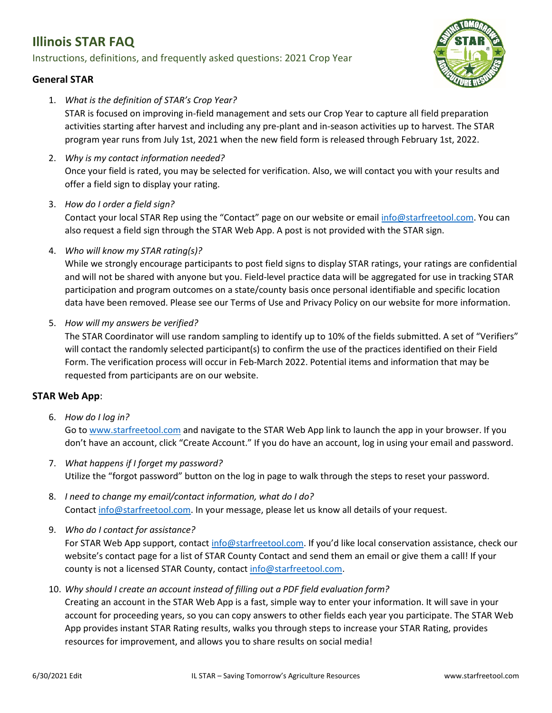# **Illinois STAR FAQ**

### Instructions, definitions, and frequently asked questions: 2021 Crop Year



#### **General STAR**

1. *What is the definition of STAR's Crop Year?*

STAR is focused on improving in-field management and sets our Crop Year to capture all field preparation activities starting after harvest and including any pre-plant and in-season activities up to harvest. The STAR program year runs from July 1st, 2021 when the new field form is released through February 1st, 2022.

- 2. *Why is my contact information needed?*  Once your field is rated, you may be selected for verification. Also, we will contact you with your results and offer a field sign to display your rating.
- 3. *How do I order a field sign?*

Contact your local STAR Rep using the "Contact" page on our website or email [info@starfreetool.com.](mailto:info@starfreetool.com) You can also request a field sign through the STAR Web App. A post is not provided with the STAR sign.

4. *Who will know my STAR rating(s)?*

While we strongly encourage participants to post field signs to display STAR ratings, your ratings are confidential and will not be shared with anyone but you. Field-level practice data will be aggregated for use in tracking STAR participation and program outcomes on a state/county basis once personal identifiable and specific location data have been removed. Please see our Terms of Use and Privacy Policy on our website for more information.

5. *How will my answers be verified?*

The STAR Coordinator will use random sampling to identify up to 10% of the fields submitted. A set of "Verifiers" will contact the randomly selected participant(s) to confirm the use of the practices identified on their Field Form. The verification process will occur in Feb-March 2022. Potential items and information that may be requested from participants are on our website.

## **STAR Web App**:

6. *How do I log in?*

Go to [www.starfreetool.com](http://www.starfreetool.com/) and navigate to the STAR Web App link to launch the app in your browser. If you don't have an account, click "Create Account." If you do have an account, log in using your email and password.

- 7. *What happens if I forget my password?* Utilize the "forgot password" button on the log in page to walk through the steps to reset your password.
- 8. *I need to change my email/contact information, what do I do?* Contact [info@starfreetool.com.](mailto:info@starfreetool.com) In your message, please let us know all details of your request.
- 9. *Who do I contact for assistance?*

For STAR Web App support, contac[t info@starfreetool.com.](mailto:info@starfreetool.com) If you'd like local conservation assistance, check our website's contact page for a list of STAR County Contact and send them an email or give them a call! If your county is not a licensed STAR County, contact [info@starfreetool.com.](mailto:info@starfreetool.com)

10. *Why should I create an account instead of filling out a PDF field evaluation form?*

Creating an account in the STAR Web App is a fast, simple way to enter your information. It will save in your account for proceeding years, so you can copy answers to other fields each year you participate. The STAR Web App provides instant STAR Rating results, walks you through steps to increase your STAR Rating, provides resources for improvement, and allows you to share results on social media!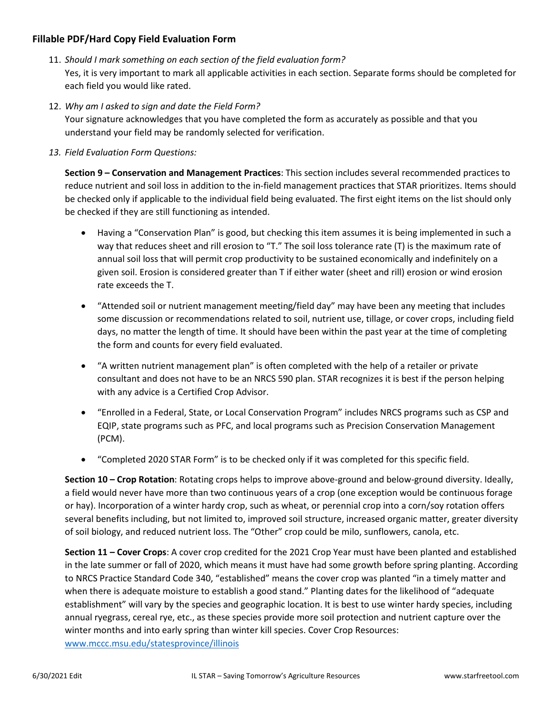#### **Fillable PDF/Hard Copy Field Evaluation Form**

- 11. *Should I mark something on each section of the field evaluation form?* Yes, it is very important to mark all applicable activities in each section. Separate forms should be completed for each field you would like rated.
- 12. *Why am I asked to sign and date the Field Form?*

Your signature acknowledges that you have completed the form as accurately as possible and that you understand your field may be randomly selected for verification.

*13. Field Evaluation Form Questions:*

**Section 9 – Conservation and Management Practices**: This section includes several recommended practices to reduce nutrient and soil loss in addition to the in-field management practices that STAR prioritizes. Items should be checked only if applicable to the individual field being evaluated. The first eight items on the list should only be checked if they are still functioning as intended.

- Having a "Conservation Plan" is good, but checking this item assumes it is being implemented in such a way that reduces sheet and rill erosion to "T." The soil loss tolerance rate (T) is the maximum rate of annual soil loss that will permit crop productivity to be sustained economically and indefinitely on a given soil. Erosion is considered greater than T if either water (sheet and rill) erosion or wind erosion rate exceeds the T.
- "Attended soil or nutrient management meeting/field day" may have been any meeting that includes some discussion or recommendations related to soil, nutrient use, tillage, or cover crops, including field days, no matter the length of time. It should have been within the past year at the time of completing the form and counts for every field evaluated.
- "A written nutrient management plan" is often completed with the help of a retailer or private consultant and does not have to be an NRCS 590 plan. STAR recognizes it is best if the person helping with any advice is a Certified Crop Advisor.
- "Enrolled in a Federal, State, or Local Conservation Program" includes NRCS programs such as CSP and EQIP, state programs such as PFC, and local programs such as Precision Conservation Management (PCM).
- "Completed 2020 STAR Form" is to be checked only if it was completed for this specific field.

**Section 10 – Crop Rotation**: Rotating crops helps to improve above-ground and below-ground diversity. Ideally, a field would never have more than two continuous years of a crop (one exception would be continuous forage or hay). Incorporation of a winter hardy crop, such as wheat, or perennial crop into a corn/soy rotation offers several benefits including, but not limited to, improved soil structure, increased organic matter, greater diversity of soil biology, and reduced nutrient loss. The "Other" crop could be milo, sunflowers, canola, etc.

**Section 11 – Cover Crops**: A cover crop credited for the 2021 Crop Year must have been planted and established in the late summer or fall of 2020, which means it must have had some growth before spring planting. According to NRCS Practice Standard Code 340, "established" means the cover crop was planted "in a timely matter and when there is adequate moisture to establish a good stand." Planting dates for the likelihood of "adequate establishment" will vary by the species and geographic location. It is best to use winter hardy species, including annual ryegrass, cereal rye, etc., as these species provide more soil protection and nutrient capture over the winter months and into early spring than winter kill species. Cover Crop Resources:

[www.mccc.msu.edu/statesprovince/illinois](http://www.mccc.msu.edu/statesprovince/illinois)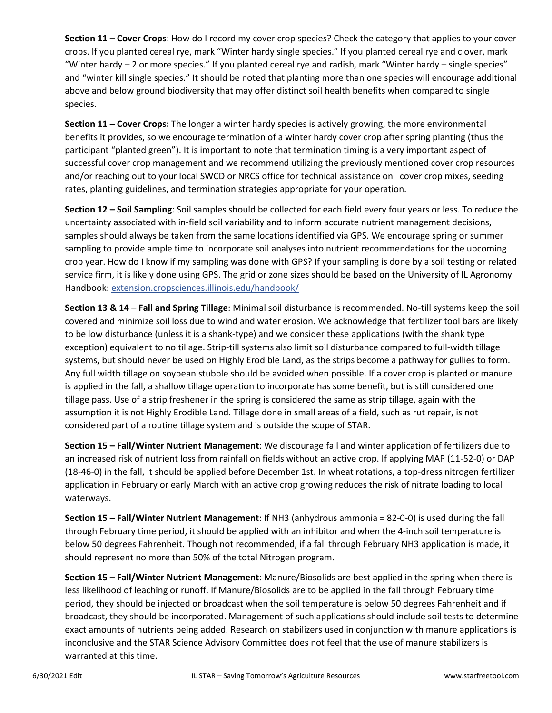**Section 11 – Cover Crops**: How do I record my cover crop species? Check the category that applies to your cover crops. If you planted cereal rye, mark "Winter hardy single species." If you planted cereal rye and clover, mark "Winter hardy – 2 or more species." If you planted cereal rye and radish, mark "Winter hardy – single species" and "winter kill single species." It should be noted that planting more than one species will encourage additional above and below ground biodiversity that may offer distinct soil health benefits when compared to single species.

**Section 11 – Cover Crops:** The longer a winter hardy species is actively growing, the more environmental benefits it provides, so we encourage termination of a winter hardy cover crop after spring planting (thus the participant "planted green"). It is important to note that termination timing is a very important aspect of successful cover crop management and we recommend utilizing the previously mentioned cover crop resources and/or reaching out to your local SWCD or NRCS office for technical assistance on cover crop mixes, seeding rates, planting guidelines, and termination strategies appropriate for your operation.

**Section 12 – Soil Sampling**: Soil samples should be collected for each field every four years or less. To reduce the uncertainty associated with in-field soil variability and to inform accurate nutrient management decisions, samples should always be taken from the same locations identified via GPS. We encourage spring or summer sampling to provide ample time to incorporate soil analyses into nutrient recommendations for the upcoming crop year. How do I know if my sampling was done with GPS? If your sampling is done by a soil testing or related service firm, it is likely done using GPS. The grid or zone sizes should be based on the University of IL Agronomy Handbook: extension.cropsciences.illinois.edu/handbook/

**Section 13 & 14 – Fall and Spring Tillage**: Minimal soil disturbance is recommended. No-till systems keep the soil covered and minimize soil loss due to wind and water erosion. We acknowledge that fertilizer tool bars are likely to be low disturbance (unless it is a shank-type) and we consider these applications (with the shank type exception) equivalent to no tillage. Strip-till systems also limit soil disturbance compared to full-width tillage systems, but should never be used on Highly Erodible Land, as the strips become a pathway for gullies to form. Any full width tillage on soybean stubble should be avoided when possible. If a cover crop is planted or manure is applied in the fall, a shallow tillage operation to incorporate has some benefit, but is still considered one tillage pass. Use of a strip freshener in the spring is considered the same as strip tillage, again with the assumption it is not Highly Erodible Land. Tillage done in small areas of a field, such as rut repair, is not considered part of a routine tillage system and is outside the scope of STAR.

**Section 15 – Fall/Winter Nutrient Management**: We discourage fall and winter application of fertilizers due to an increased risk of nutrient loss from rainfall on fields without an active crop. If applying MAP (11-52-0) or DAP (18-46-0) in the fall, it should be applied before December 1st. In wheat rotations, a top-dress nitrogen fertilizer application in February or early March with an active crop growing reduces the risk of nitrate loading to local waterways.

**Section 15 – Fall/Winter Nutrient Management**: If NH3 (anhydrous ammonia = 82-0-0) is used during the fall through February time period, it should be applied with an inhibitor and when the 4-inch soil temperature is below 50 degrees Fahrenheit. Though not recommended, if a fall through February NH3 application is made, it should represent no more than 50% of the total Nitrogen program.

**Section 15 – Fall/Winter Nutrient Management**: Manure/Biosolids are best applied in the spring when there is less likelihood of leaching or runoff. If Manure/Biosolids are to be applied in the fall through February time period, they should be injected or broadcast when the soil temperature is below 50 degrees Fahrenheit and if broadcast, they should be incorporated. Management of such applications should include soil tests to determine exact amounts of nutrients being added. Research on stabilizers used in conjunction with manure applications is inconclusive and the STAR Science Advisory Committee does not feel that the use of manure stabilizers is warranted at this time.